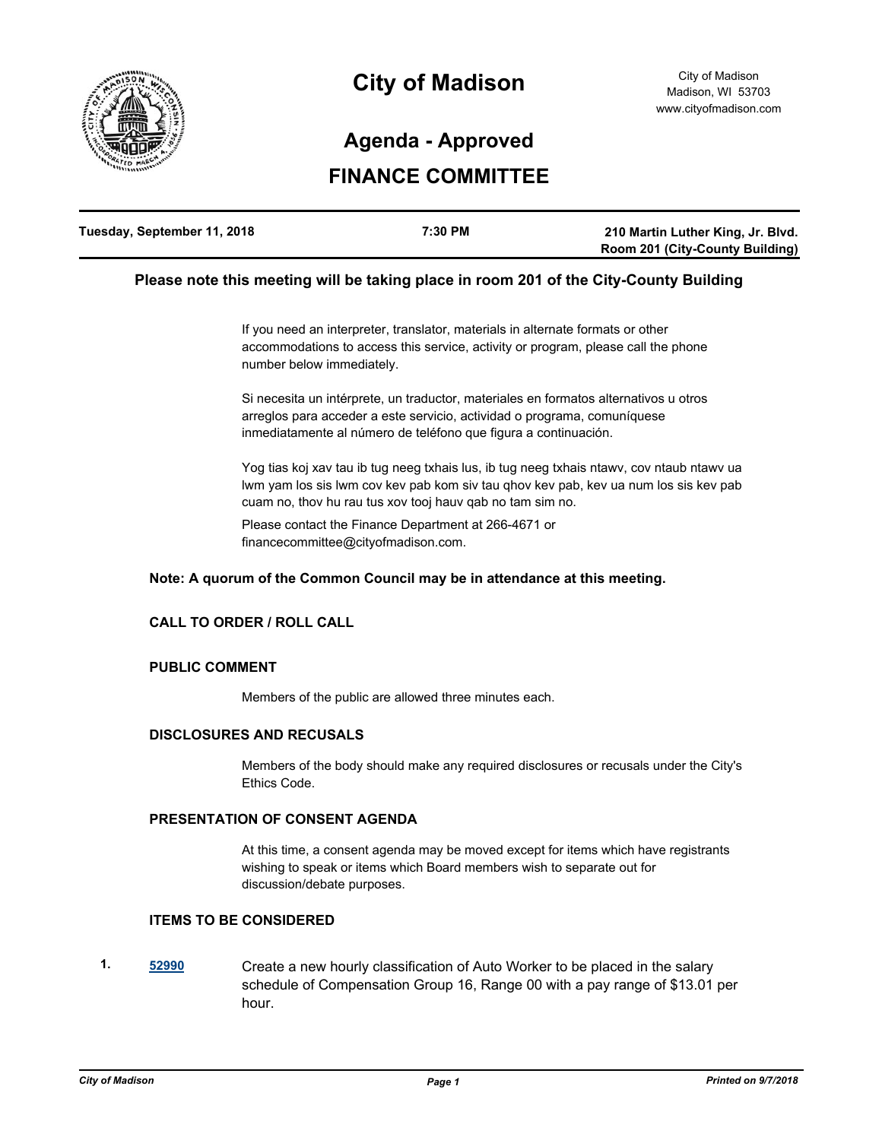

# **City of Madison**

## **Agenda - Approved**

## **FINANCE COMMITTEE**

| Tuesday, September 11, 2018 | 7:30 PM | 210 Martin Luther King, Jr. Blvd.      |
|-----------------------------|---------|----------------------------------------|
|                             |         | <b>Room 201 (City-County Building)</b> |

#### **Please note this meeting will be taking place in room 201 of the City-County Building**

If you need an interpreter, translator, materials in alternate formats or other accommodations to access this service, activity or program, please call the phone number below immediately.

Si necesita un intérprete, un traductor, materiales en formatos alternativos u otros arreglos para acceder a este servicio, actividad o programa, comuníquese inmediatamente al número de teléfono que figura a continuación.

Yog tias koj xav tau ib tug neeg txhais lus, ib tug neeg txhais ntawv, cov ntaub ntawv ua lwm yam los sis lwm cov kev pab kom siv tau qhov kev pab, kev ua num los sis kev pab cuam no, thov hu rau tus xov tooj hauv qab no tam sim no.

Please contact the Finance Department at 266-4671 or financecommittee@cityofmadison.com.

#### **Note: A quorum of the Common Council may be in attendance at this meeting.**

### **CALL TO ORDER / ROLL CALL**

#### **PUBLIC COMMENT**

Members of the public are allowed three minutes each.

#### **DISCLOSURES AND RECUSALS**

Members of the body should make any required disclosures or recusals under the City's Ethics Code.

#### **PRESENTATION OF CONSENT AGENDA**

At this time, a consent agenda may be moved except for items which have registrants wishing to speak or items which Board members wish to separate out for discussion/debate purposes.

#### **ITEMS TO BE CONSIDERED**

**1. [52990](http://madison.legistar.com/gateway.aspx?m=l&id=/matter.aspx?key=59631)** Create a new hourly classification of Auto Worker to be placed in the salary schedule of Compensation Group 16, Range 00 with a pay range of \$13.01 per hour.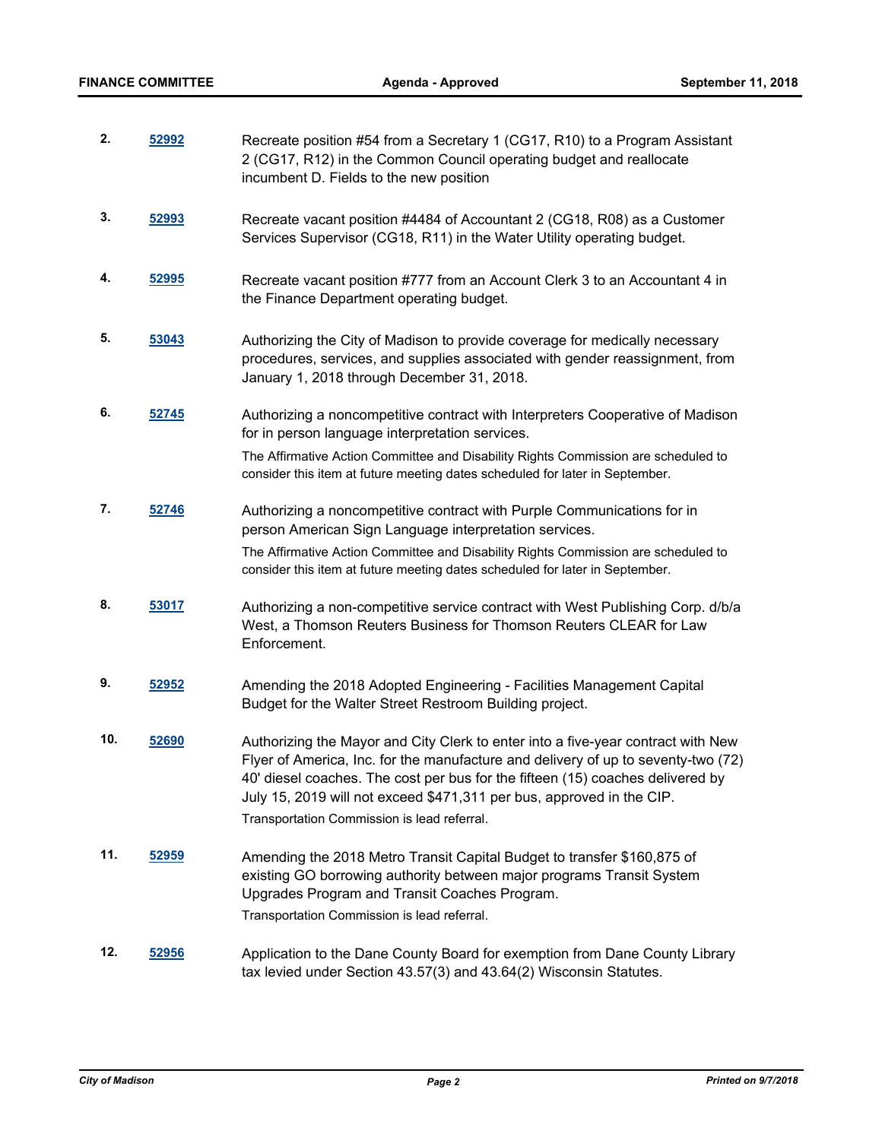| 2.  | 52992 | Recreate position #54 from a Secretary 1 (CG17, R10) to a Program Assistant<br>2 (CG17, R12) in the Common Council operating budget and reallocate<br>incumbent D. Fields to the new position                                                                                                                                                                                   |
|-----|-------|---------------------------------------------------------------------------------------------------------------------------------------------------------------------------------------------------------------------------------------------------------------------------------------------------------------------------------------------------------------------------------|
| 3.  | 52993 | Recreate vacant position #4484 of Accountant 2 (CG18, R08) as a Customer<br>Services Supervisor (CG18, R11) in the Water Utility operating budget.                                                                                                                                                                                                                              |
| 4.  | 52995 | Recreate vacant position #777 from an Account Clerk 3 to an Accountant 4 in<br>the Finance Department operating budget.                                                                                                                                                                                                                                                         |
| 5.  | 53043 | Authorizing the City of Madison to provide coverage for medically necessary<br>procedures, services, and supplies associated with gender reassignment, from<br>January 1, 2018 through December 31, 2018.                                                                                                                                                                       |
| 6.  | 52745 | Authorizing a noncompetitive contract with Interpreters Cooperative of Madison<br>for in person language interpretation services.                                                                                                                                                                                                                                               |
|     |       | The Affirmative Action Committee and Disability Rights Commission are scheduled to<br>consider this item at future meeting dates scheduled for later in September.                                                                                                                                                                                                              |
| 7.  | 52746 | Authorizing a noncompetitive contract with Purple Communications for in<br>person American Sign Language interpretation services.                                                                                                                                                                                                                                               |
|     |       | The Affirmative Action Committee and Disability Rights Commission are scheduled to<br>consider this item at future meeting dates scheduled for later in September.                                                                                                                                                                                                              |
| 8.  | 53017 | Authorizing a non-competitive service contract with West Publishing Corp. d/b/a<br>West, a Thomson Reuters Business for Thomson Reuters CLEAR for Law<br>Enforcement.                                                                                                                                                                                                           |
| 9.  | 52952 | Amending the 2018 Adopted Engineering - Facilities Management Capital<br>Budget for the Walter Street Restroom Building project.                                                                                                                                                                                                                                                |
| 10. | 52690 | Authorizing the Mayor and City Clerk to enter into a five-year contract with New<br>Flyer of America, Inc. for the manufacture and delivery of up to seventy-two (72)<br>40' diesel coaches. The cost per bus for the fifteen (15) coaches delivered by<br>July 15, 2019 will not exceed \$471,311 per bus, approved in the CIP.<br>Transportation Commission is lead referral. |
| 11. | 52959 | Amending the 2018 Metro Transit Capital Budget to transfer \$160,875 of                                                                                                                                                                                                                                                                                                         |
|     |       | existing GO borrowing authority between major programs Transit System<br>Upgrades Program and Transit Coaches Program.<br>Transportation Commission is lead referral.                                                                                                                                                                                                           |
| 12. | 52956 | Application to the Dane County Board for exemption from Dane County Library<br>tax levied under Section 43.57(3) and 43.64(2) Wisconsin Statutes.                                                                                                                                                                                                                               |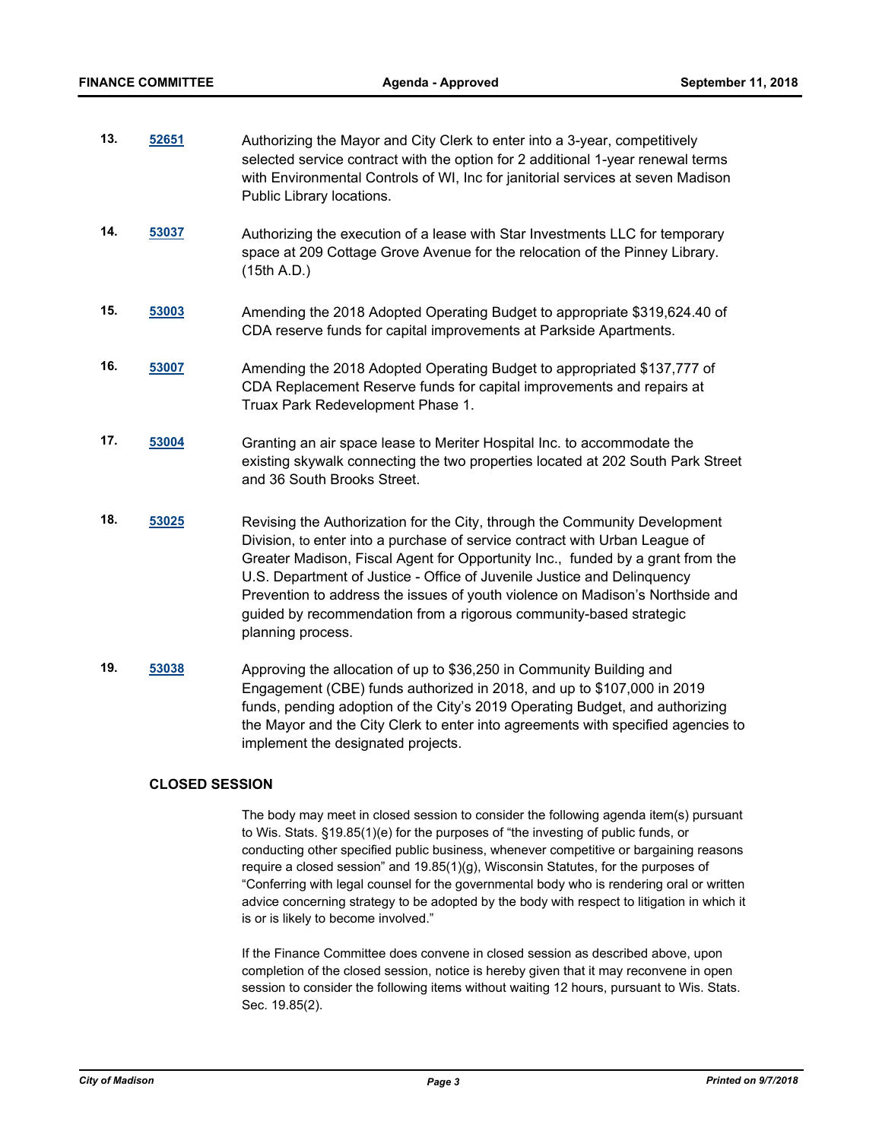- **13. [52651](http://madison.legistar.com/gateway.aspx?m=l&id=/matter.aspx?key=58312)** Authorizing the Mayor and City Clerk to enter into a 3-year, competitively selected service contract with the option for 2 additional 1-year renewal terms with Environmental Controls of WI, Inc for janitorial services at seven Madison Public Library locations.
- **14. [53037](http://madison.legistar.com/gateway.aspx?m=l&id=/matter.aspx?key=59675)** Authorizing the execution of a lease with Star Investments LLC for temporary space at 209 Cottage Grove Avenue for the relocation of the Pinney Library. (15th A.D.)
- **15. [53003](http://madison.legistar.com/gateway.aspx?m=l&id=/matter.aspx?key=59644)** Amending the 2018 Adopted Operating Budget to appropriate \$319,624.40 of CDA reserve funds for capital improvements at Parkside Apartments.
- **16. [53007](http://madison.legistar.com/gateway.aspx?m=l&id=/matter.aspx?key=59648)** Amending the 2018 Adopted Operating Budget to appropriated \$137,777 of CDA Replacement Reserve funds for capital improvements and repairs at Truax Park Redevelopment Phase 1.
- **17. [53004](http://madison.legistar.com/gateway.aspx?m=l&id=/matter.aspx?key=59645)** Granting an air space lease to Meriter Hospital Inc. to accommodate the existing skywalk connecting the two properties located at 202 South Park Street and 36 South Brooks Street.
- **18. [53025](http://madison.legistar.com/gateway.aspx?m=l&id=/matter.aspx?key=59666)** Revising the Authorization for the City, through the Community Development Division, to enter into a purchase of service contract with Urban League of Greater Madison, Fiscal Agent for Opportunity Inc., funded by a grant from the U.S. Department of Justice - Office of Juvenile Justice and Delinquency Prevention to address the issues of youth violence on Madison's Northside and guided by recommendation from a rigorous community-based strategic planning process.
- **19. [53038](http://madison.legistar.com/gateway.aspx?m=l&id=/matter.aspx?key=59676)** Approving the allocation of up to \$36,250 in Community Building and Engagement (CBE) funds authorized in 2018, and up to \$107,000 in 2019 funds, pending adoption of the City's 2019 Operating Budget, and authorizing the Mayor and the City Clerk to enter into agreements with specified agencies to implement the designated projects.

#### **CLOSED SESSION**

The body may meet in closed session to consider the following agenda item(s) pursuant to Wis. Stats. §19.85(1)(e) for the purposes of "the investing of public funds, or conducting other specified public business, whenever competitive or bargaining reasons require a closed session" and 19.85(1)(g), Wisconsin Statutes, for the purposes of "Conferring with legal counsel for the governmental body who is rendering oral or written advice concerning strategy to be adopted by the body with respect to litigation in which it is or is likely to become involved."

If the Finance Committee does convene in closed session as described above, upon completion of the closed session, notice is hereby given that it may reconvene in open session to consider the following items without waiting 12 hours, pursuant to Wis. Stats. Sec. 19.85(2).